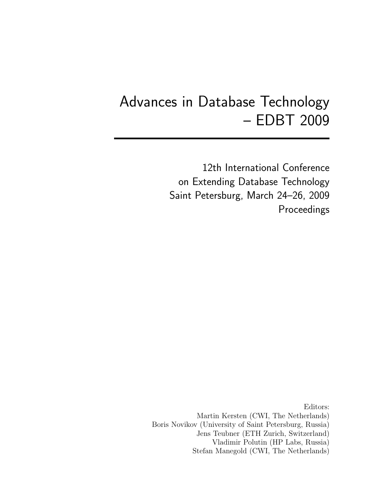# Advances in Database Technology – EDBT 2009

12th International Conference on Extending Database Technology Saint Petersburg, March 24–26, 2009 Proceedings

Editors: Martin Kersten (CWI, The Netherlands) Boris Novikov (University of Saint Petersburg, Russia) Jens Teubner (ETH Zurich, Switzerland) Vladimir Polutin (HP Labs, Russia) Stefan Manegold (CWI, The Netherlands)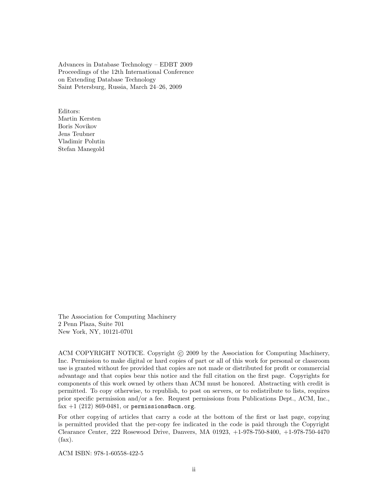Advances in Database Technology – EDBT 2009 Proceedings of the 12th International Conference on Extending Database Technology Saint Petersburg, Russia, March 24–26, 2009

Editors: Martin Kersten Boris Novikov Jens Teubner Vladimir Polutin Stefan Manegold

The Association for Computing Machinery 2 Penn Plaza, Suite 701 New York, NY, 10121-0701

ACM COPYRIGHT NOTICE. Copyright (c) 2009 by the Association for Computing Machinery, Inc. Permission to make digital or hard copies of part or all of this work for personal or classroom use is granted without fee provided that copies are not made or distributed for profit or commercial advantage and that copies bear this notice and the full citation on the first page. Copyrights for components of this work owned by others than ACM must be honored. Abstracting with credit is permitted. To copy otherwise, to republish, to post on servers, or to redistribute to lists, requires prior specific permission and/or a fee. Request permissions from Publications Dept., ACM, Inc., fax  $+1$  (212) 869-0481, or permissions@acm.org.

For other copying of articles that carry a code at the bottom of the first or last page, copying is permitted provided that the per-copy fee indicated in the code is paid through the Copyright Clearance Center, 222 Rosewood Drive, Danvers, MA 01923, +1-978-750-8400, +1-978-750-4470 (fax).

ACM ISBN: 978-1-60558-422-5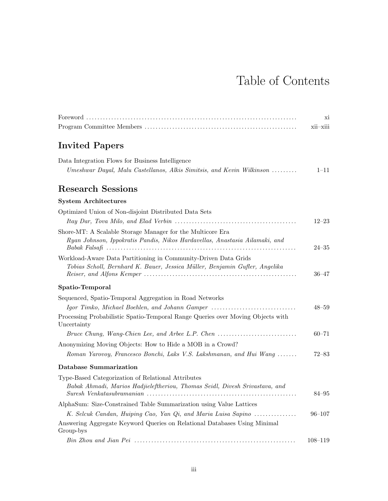# Table of Contents

|                                                                                                                                                | X1          |
|------------------------------------------------------------------------------------------------------------------------------------------------|-------------|
|                                                                                                                                                | xii-xiii    |
| <b>Invited Papers</b>                                                                                                                          |             |
| Data Integration Flows for Business Intelligence<br>Umeshwar Dayal, Malu Castellanos, Alkis Simitsis, and Kevin Wilkinson                      | $1 - 11$    |
| <b>Research Sessions</b>                                                                                                                       |             |
| <b>System Architectures</b>                                                                                                                    |             |
| Optimized Union of Non-disjoint Distributed Data Sets                                                                                          | $12 - 23$   |
| Shore-MT: A Scalable Storage Manager for the Multicore Era<br>Ryan Johnson, Ippokratis Pandis, Nikos Hardavellas, Anastasia Ailamaki, and      | $24 - 35$   |
| Workload-Aware Data Partitioning in Community-Driven Data Grids<br>Tobias Scholl, Bernhard K. Bauer, Jessica Müller, Benjamin Gufler, Angelika | $36 - 47$   |
| Spatio-Temporal                                                                                                                                |             |
| Sequenced, Spatio-Temporal Aggregation in Road Networks                                                                                        |             |
| Igor Timko, Michael Boehlen, and Johann Gamper                                                                                                 | $48 - 59$   |
| Processing Probabilistic Spatio-Temporal Range Queries over Moving Objects with<br>Uncertainty                                                 |             |
| Bruce Chung, Wang-Chien Lee, and Arbee L.P. Chen                                                                                               | $60 - 71$   |
| Anonymizing Moving Objects: How to Hide a MOB in a Crowd?                                                                                      |             |
| Roman Yarovoy, Francesco Bonchi, Laks V.S. Lakshmanan, and Hui Wang                                                                            | $72 - 83$   |
| Database Summarization                                                                                                                         |             |
| Type-Based Categorization of Relational Attributes<br>Babak Ahmadi, Marios Hadjieleftheriou, Thomas Seidl, Divesh Srivastava, and              | 84–95       |
| AlphaSum: Size-Constrained Table Summarization using Value Lattices                                                                            |             |
| K. Selcuk Candan, Huiping Cao, Yan Qi, and Maria Luisa Sapino                                                                                  | $96 - 107$  |
| Answering Aggregate Keyword Queries on Relational Databases Using Minimal<br>Group-bys                                                         |             |
|                                                                                                                                                | $108 - 119$ |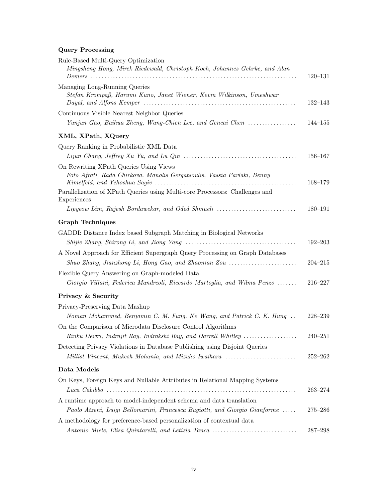# Query Processing

| Rule-Based Multi-Query Optimization<br>Mingsheng Hong, Mirek Riedewald, Christoph Koch, Johannes Gehrke, and Alan                    | $120 - 131$ |
|--------------------------------------------------------------------------------------------------------------------------------------|-------------|
| Managing Long-Running Queries<br>Stefan Krompaß, Harumi Kuno, Janet Wiener, Kevin Wilkinson, Umeshwar                                | $132 - 143$ |
| Continuous Visible Nearest Neighbor Queries<br>Yunjun Gao, Baihua Zheng, Wang-Chien Lee, and Gencai Chen                             | $144 - 155$ |
| XML, XPath, XQuery                                                                                                                   |             |
| Query Ranking in Probabilistic XML Data                                                                                              |             |
|                                                                                                                                      | $156 - 167$ |
| On Rewriting XPath Queries Using Views<br>Foto Afrati, Rada Chirkova, Manolis Gergatsoulis, Vassia Pavlaki, Benny                    | 168-179     |
| Parallelization of XPath Queries using Multi-core Processors: Challenges and<br>Experiences                                          |             |
| Lipyeow Lim, Rajesh Bordawekar, and Oded Shmueli                                                                                     | $180 - 191$ |
| <b>Graph Techniques</b>                                                                                                              |             |
| GADDI: Distance Index based Subgraph Matching in Biological Networks                                                                 |             |
|                                                                                                                                      | $192 - 203$ |
| A Novel Approach for Efficient Supergraph Query Processing on Graph Databases                                                        | $204 - 215$ |
| Flexible Query Answering on Graph-modeled Data<br>Giorgio Villani, Federica Mandreoli, Riccardo Martoglia, and Wilma Penzo           | $216 - 227$ |
| Privacy & Security                                                                                                                   |             |
| Privacy-Preserving Data Mashup                                                                                                       |             |
| Noman Mohammed, Benjamin C. M. Fung, Ke Wang, and Patrick C. K. Hung<br>On the Comparison of Microdata Disclosure Control Algorithms | $228 - 239$ |
| Rinku Dewri, Indrajit Ray, Indrakshi Ray, and Darrell Whitley                                                                        | $240 - 251$ |
| Detecting Privacy Violations in Database Publishing using Disjoint Queries                                                           |             |
| Millist Vincent, Mukesh Mohania, and Mizuho Iwaihara                                                                                 | $252 - 262$ |
| Data Models                                                                                                                          |             |
| On Keys, Foreign Keys and Nullable Attributes in Relational Mapping Systems                                                          |             |
|                                                                                                                                      | $263 - 274$ |
| A runtime approach to model-independent schema and data translation                                                                  |             |
| Paolo Atzeni, Luigi Bellomarini, Francesca Bugiotti, and Giorgio Gianforme                                                           | $275 - 286$ |
| A methodology for preference-based personalization of contextual data                                                                |             |
| Antonio Miele, Elisa Quintarelli, and Letizia Tanca                                                                                  | $287 - 298$ |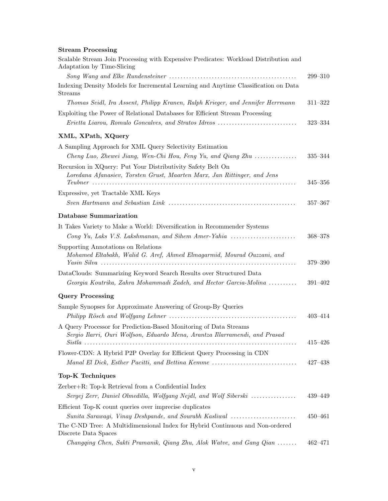#### Stream Processing

| Scalable Stream Join Processing with Expensive Predicates: Workload Distribution and<br>Adaptation by Time-Slicing                               |             |
|--------------------------------------------------------------------------------------------------------------------------------------------------|-------------|
|                                                                                                                                                  | $299 - 310$ |
| Indexing Density Models for Incremental Learning and Anytime Classification on Data<br><b>Streams</b>                                            |             |
| Thomas Seidl, Ira Assent, Philipp Kranen, Ralph Krieger, and Jennifer Herrmann                                                                   | $311 - 322$ |
| Exploiting the Power of Relational Databases for Efficient Stream Processing                                                                     |             |
| Erietta Liarou, Romulo Goncalves, and Stratos Idreos                                                                                             | $323 - 334$ |
| XML, XPath, XQuery                                                                                                                               |             |
| A Sampling Approach for XML Query Selectivity Estimation                                                                                         |             |
| Cheng Luo, Zhewei Jiang, Wen-Chi Hou, Feng Yu, and Qiang Zhu                                                                                     | 335-344     |
| Recursion in XQuery: Put Your Distributivity Safety Belt On<br>Loredana Afanasiev, Torsten Grust, Maarten Marx, Jan Rittinger, and Jens          | $345 - 356$ |
| Expressive, yet Tractable XML Keys                                                                                                               |             |
|                                                                                                                                                  | $357 - 367$ |
|                                                                                                                                                  |             |
| <b>Database Summarization</b>                                                                                                                    |             |
| It Takes Variety to Make a World: Diversification in Recommender Systems<br>Cong Yu, Laks V.S. Lakshmanan, and Sihem Amer-Yahia                  | $368 - 378$ |
| Supporting Annotations on Relations<br>Mohamed Eltabakh, Walid G. Aref, Ahmed Elmagarmid, Mourad Ouzzani, and                                    | 379-390     |
| DataClouds: Summarizing Keyword Search Results over Structured Data                                                                              |             |
| Georgia Koutrika, Zahra Mohammadi Zadeh, and Hector Garcia-Molina                                                                                | $391 - 402$ |
| <b>Query Processing</b>                                                                                                                          |             |
| Sample Synopses for Approximate Answering of Group-By Queries                                                                                    |             |
|                                                                                                                                                  | $403 - 414$ |
| A Query Processor for Prediction-Based Monitoring of Data Streams<br>Sergio Ilarri, Ouri Wolfson, Eduardo Mena, Arantza Illarramendi, and Prasad |             |
|                                                                                                                                                  | $415 - 426$ |
| Flower-CDN: A Hybrid P2P Overlay for Efficient Query Processing in CDN<br>Manal El Dick, Esther Pacitti, and Bettina Kemme                       | $427 - 438$ |
| Top-K Techniques                                                                                                                                 |             |
| Zerber+R: Top-k Retrieval from a Confidential Index                                                                                              |             |
| Sergej Zerr, Daniel Olmedilla, Wolfgang Nejdl, and Wolf Siberski                                                                                 | 439-449     |
| Efficient Top-K count queries over imprecise duplicates                                                                                          |             |
| Sunita Sarawagi, Vinay Deshpande, and Sourabh Kasliwal                                                                                           | $450 - 461$ |
| The C-ND Tree: A Multidimensional Index for Hybrid Continuous and Non-ordered<br>Discrete Data Spaces                                            |             |
| Changqing Chen, Sakti Pramanik, Qiang Zhu, Alok Watve, and Gang Qian                                                                             | $462 - 471$ |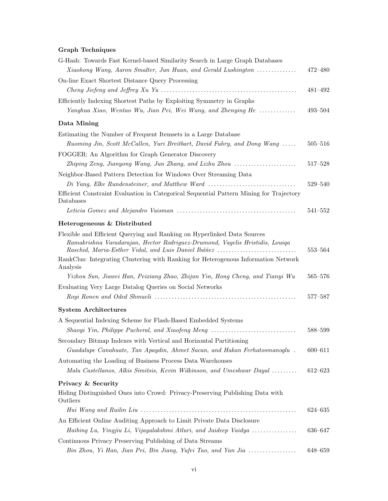# Graph Techniques

| G-Hash: Towards Fast Kernel-based Similarity Search in Large Graph Databases                                                                                                                                   |             |
|----------------------------------------------------------------------------------------------------------------------------------------------------------------------------------------------------------------|-------------|
| Xiaohong Wang, Aaron Smalter, Jun Huan, and Gerald Lushington                                                                                                                                                  | 472-480     |
| On-line Exact Shortest Distance Query Processing                                                                                                                                                               |             |
|                                                                                                                                                                                                                | 481-492     |
| Efficiently Indexing Shortest Paths by Exploiting Symmetry in Graphs                                                                                                                                           |             |
| Yanghua Xiao, Wentao Wu, Jian Pei, Wei Wang, and Zhenying He                                                                                                                                                   | $493 - 504$ |
| Data Mining                                                                                                                                                                                                    |             |
| Estimating the Number of Frequent Itemsets in a Large Database<br>Ruoming Jin, Scott McCallen, Yuri Breitbart, David Fuhry, and Dong Wang                                                                      | $505 - 516$ |
| FOGGER: An Algorithm for Graph Generator Discovery                                                                                                                                                             |             |
| Zhiping Zeng, Jianyong Wang, Jun Zhang, and Lizhu Zhou                                                                                                                                                         | $517 - 528$ |
| Neighbor-Based Pattern Detection for Windows Over Streaming Data                                                                                                                                               |             |
| Di Yang, Elke Rundensteiner, and Matthew Ward                                                                                                                                                                  | 529-540     |
| Efficient Constraint Evaluation in Categorical Sequential Pattern Mining for Trajectory<br>Databases                                                                                                           |             |
|                                                                                                                                                                                                                | $541 - 552$ |
| Heterogeneous & Distributed                                                                                                                                                                                    |             |
| Flexible and Efficient Querying and Ranking on Hyperlinked Data Sources<br>Ramakrishna Varadarajan, Hector Rodriguez-Drumond, Vagelis Hristidis, Louiqa<br>Raschid, Maria-Esther Vidal, and Luis Daniel Ibáñez | 553-564     |
| RankClus: Integrating Clustering with Ranking for Heterogenous Information Network<br>Analysis                                                                                                                 |             |
| Yizhou Sun, Jiawei Han, Peixiang Zhao, Zhijun Yin, Hong Cheng, and Tianyi Wu                                                                                                                                   | 565–576     |
| Evaluating Very Large Datalog Queries on Social Networks                                                                                                                                                       |             |
|                                                                                                                                                                                                                | 577–587     |
| <b>System Architectures</b>                                                                                                                                                                                    |             |
| A Sequential Indexing Scheme for Flash-Based Embedded Systems                                                                                                                                                  |             |
| Shaoyi Yin, Philippe Pucheral, and Xiaofeng Meng                                                                                                                                                               | 588-599     |
| Secondary Bitmap Indexes with Vertical and Horizontal Partitioning                                                                                                                                             |             |
| Guadalupe Canahuate, Tan Apaydin, Ahmet Sacan, and Hakan Ferhatosmanoglu.                                                                                                                                      | $600 - 611$ |
| Automating the Loading of Business Process Data Warehouses                                                                                                                                                     |             |
| Malu Castellanos, Alkis Simitsis, Kevin Wilkinson, and Umeshwar Dayal                                                                                                                                          | $612 - 623$ |
| Privacy & Security                                                                                                                                                                                             |             |
| Hiding Distinguished Ones into Crowd: Privacy-Preserving Publishing Data with<br>Outliers                                                                                                                      |             |
|                                                                                                                                                                                                                | 624-635     |
| An Efficient Online Auditing Approach to Limit Private Data Disclosure                                                                                                                                         |             |
| Haibing Lu, Yingjiu Li, Vijayalakshmi Atluri, and Jaideep Vaidya                                                                                                                                               | 636-647     |
| Continuous Privacy Preserving Publishing of Data Streams                                                                                                                                                       |             |
| Bin Zhou, Yi Han, Jian Pei, Bin Jiang, Yufei Tao, and Yan Jia                                                                                                                                                  | 648-659     |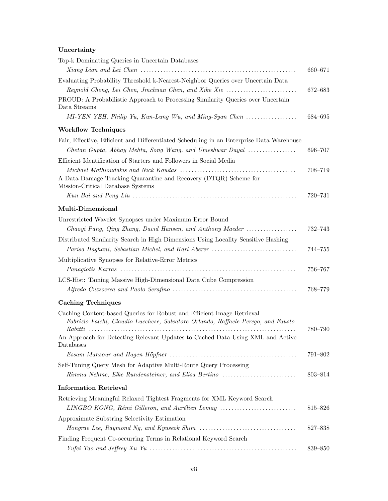# Uncertainty

| Top-k Dominating Queries in Uncertain Databases                                                            |             |
|------------------------------------------------------------------------------------------------------------|-------------|
|                                                                                                            | 660-671     |
| Evaluating Probability Threshold k-Nearest-Neighbor Queries over Uncertain Data                            |             |
| Reynold Cheng, Lei Chen, Jinchuan Chen, and Xike Xie                                                       | 672-683     |
| PROUD: A Probabilistic Approach to Processing Similarity Queries over Uncertain<br>Data Streams            |             |
|                                                                                                            | 684-695     |
| <b>Workflow Techniques</b>                                                                                 |             |
| Fair, Effective, Efficient and Differentiated Scheduling in an Enterprise Data Warehouse                   |             |
| Chetan Gupta, Abhay Mehta, Song Wang, and Umeshwar Dayal                                                   | 696-707     |
| Efficient Identification of Starters and Followers in Social Media                                         |             |
|                                                                                                            | 708–719     |
| A Data Damage Tracking Quarantine and Recovery (DTQR) Scheme for<br>Mission-Critical Database Systems      |             |
|                                                                                                            | 720-731     |
| Multi-Dimensional                                                                                          |             |
| Unrestricted Wavelet Synopses under Maximum Error Bound                                                    |             |
| Chaoyi Pang, Qing Zhang, David Hansen, and Anthony Maeder                                                  | 732–743     |
| Distributed Similarity Search in High Dimensions Using Locality Sensitive Hashing                          |             |
| Parisa Haghani, Sebastian Michel, and Karl Aberer                                                          | $744 - 755$ |
| Multiplicative Synopses for Relative-Error Metrics                                                         |             |
|                                                                                                            | 756-767     |
| LCS-Hist: Taming Massive High-Dimensional Data Cube Compression                                            |             |
|                                                                                                            | 768–779     |
| <b>Caching Techniques</b>                                                                                  |             |
| Caching Content-based Queries for Robust and Efficient Image Retrieval                                     |             |
| Fabrizio Falchi, Claudio Lucchese, Salvatore Orlando, Raffaele Perego, and Fausto                          |             |
| Rabitti<br>An Approach for Detecting Relevant Updates to Cached Data Using XML and Active                  | 780–790     |
| Databases                                                                                                  |             |
|                                                                                                            | 791-802     |
| Self-Tuning Query Mesh for Adaptive Multi-Route Query Processing                                           |             |
| Rimma Nehme, Elke Rundensteiner, and Elisa Bertino                                                         | 803-814     |
| <b>Information Retrieval</b>                                                                               |             |
| Retrieving Meaningful Relaxed Tightest Fragments for XML Keyword Search                                    |             |
| LINGBO KONG, Rémi Gilleron, and Aurélien Lemay                                                             | 815-826     |
| Approximate Substring Selectivity Estimation                                                               |             |
| Hongrae Lee, Raymond Ng, and Kyuseok Shim $\ldots \ldots \ldots \ldots \ldots \ldots \ldots \ldots \ldots$ | 827-838     |
| Finding Frequent Co-occurring Terms in Relational Keyword Search                                           |             |
|                                                                                                            | 839–850     |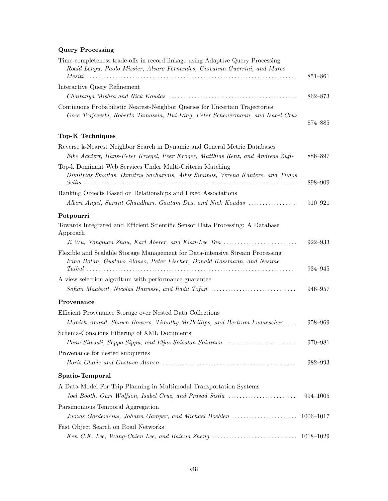# Query Processing

| Time-completeness trade-offs in record linkage using Adaptive Query Processing<br>Roald Lengu, Paolo Missier, Alvaro Fernandes, Giovanna Guerrini, and Marco    | 851-861     |
|-----------------------------------------------------------------------------------------------------------------------------------------------------------------|-------------|
| Interactive Query Refinement                                                                                                                                    |             |
|                                                                                                                                                                 | 862-873     |
| Continuous Probabilistic Nearest-Neighbor Queries for Uncertain Trajectories<br>Goce Trajcevski, Roberto Tamassia, Hui Ding, Peter Scheuermann, and Isabel Cruz | 874-885     |
| Top-K Techniques                                                                                                                                                |             |
| Reverse k-Nearest Neighbor Search in Dynamic and General Metric Databases<br>Elke Achtert, Hans-Peter Kriegel, Peer Kröger, Matthias Renz, and Andreas Züfte    | 886-897     |
| Top-k Dominant Web Services Under Multi-Criteria Matching<br>Dimitrios Skoutas, Dimitris Sacharidis, Alkis Simitsis, Verena Kantere, and Timos                  | 898-909     |
| Ranking Objects Based on Relationships and Fixed Associations                                                                                                   |             |
| Albert Angel, Surajit Chaudhuri, Gautam Das, and Nick Koudas                                                                                                    | 910-921     |
| Potpourri                                                                                                                                                       |             |
| Towards Integrated and Efficient Scientific Sensor Data Processing: A Database<br>Approach                                                                      |             |
| $J_i$ Wu, Yongluan Zhou, Karl Aberer, and Kian-Lee Tan $\ldots \ldots \ldots \ldots \ldots \ldots$                                                              | $922 - 933$ |
| Flexible and Scalable Storage Management for Data-intensive Stream Processing<br>Irina Botan, Gustavo Alonso, Peter Fischer, Donald Kossmann, and Nesime        |             |
|                                                                                                                                                                 | 934–945     |
| A view selection algorithm with performance guarantee                                                                                                           |             |
| Sofian Maabout, Nicolas Hanusse, and Radu Tofan                                                                                                                 | 946–957     |
| Provenance                                                                                                                                                      |             |
| Efficient Provenance Storage over Nested Data Collections<br>Manish Anand, Shawn Bowers, Timothy McPhillips, and Bertram Ludaescher                             | 958-969     |
| Schema-Conscious Filtering of XML Documents                                                                                                                     |             |
| Panu Silvasti, Seppo Sippu, and Eljas Soisalon-Soininen                                                                                                         | 970-981     |
| Provenance for nested subqueries                                                                                                                                | 982-993     |
| Spatio-Temporal                                                                                                                                                 |             |
| A Data Model For Trip Planning in Multimodal Transportation Systems                                                                                             |             |
| Joel Booth, Ouri Wolfson, Isabel Cruz, and Prasad Sistla                                                                                                        | 994-1005    |
| Parsimonious Temporal Aggregation                                                                                                                               |             |
|                                                                                                                                                                 |             |
| Fast Object Search on Road Networks                                                                                                                             |             |
|                                                                                                                                                                 |             |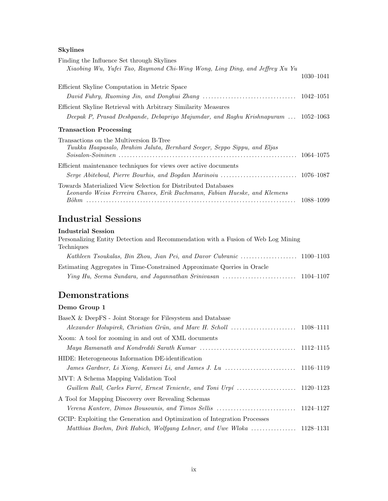# Skylines

| Finding the Influence Set through Skylines                                        |           |
|-----------------------------------------------------------------------------------|-----------|
| Xiaobing Wu, Yufei Tao, Raymond Chi-Wing Wong, Ling Ding, and Jeffrey Xu Yu       |           |
|                                                                                   | 1030-1041 |
| Efficient Skyline Computation in Metric Space                                     |           |
|                                                                                   |           |
| Efficient Skyline Retrieval with Arbitrary Similarity Measures                    |           |
| Deepak P, Prasad Deshpande, Debapriyo Majumdar, and Raghu Krishnapuram  1052-1063 |           |
| <b>Transaction Processing</b>                                                     |           |
| Transactions on the Multiversion B-Tree                                           |           |
| Tuukka Haapasalo, Ibrahim Jaluta, Bernhard Seeger, Seppo Sippu, and Eljas         |           |
|                                                                                   |           |
| Efficient maintenance techniques for views over active documents                  |           |
|                                                                                   |           |
| Towards Materialized View Selection for Distributed Databases                     |           |
| Leonardo Weiss Ferreira Chaves, Erik Buchmann, Fabian Hueske, and Klemens         |           |
|                                                                                   | 1088–1099 |

# Industrial Sessions

#### Industrial Session

| Personalizing Entity Detection and Recommendation with a Fusion of Web Log Mining |  |
|-----------------------------------------------------------------------------------|--|
| Techniques                                                                        |  |
|                                                                                   |  |
| Estimating Aggregates in Time-Constrained Approximate Queries in Oracle           |  |
|                                                                                   |  |

# Demonstrations

# Demo Group 1

| BaseX & DeepFS - Joint Storage for Filesystem and Database                |  |
|---------------------------------------------------------------------------|--|
|                                                                           |  |
| Xoom: A tool for zooming in and out of XML documents                      |  |
|                                                                           |  |
| HIDE: Heterogeneous Information DE-identification                         |  |
|                                                                           |  |
| MVT: A Schema Mapping Validation Tool                                     |  |
|                                                                           |  |
| A Tool for Mapping Discovery over Revealing Schemas                       |  |
|                                                                           |  |
| GCIP: Exploiting the Generation and Optimization of Integration Processes |  |
| Matthias Boehm, Dirk Habich, Wolfgang Lehner, and Uwe Wloka  1128–1131    |  |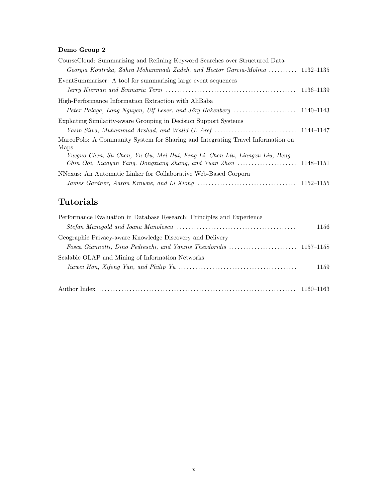# Demo Group 2

| CourseCloud: Summarizing and Refining Keyword Searches over Structured Data     |           |
|---------------------------------------------------------------------------------|-----------|
| Georgia Koutrika, Zahra Mohammadi Zadeh, and Hector Garcia-Molina  1132–1135    |           |
| EventSummarizer: A tool for summarizing large event sequences                   |           |
|                                                                                 | 1136–1139 |
| High-Performance Information Extraction with AliBaba                            |           |
|                                                                                 |           |
| Exploiting Similarity-aware Grouping in Decision Support Systems                |           |
|                                                                                 |           |
| MarcoPolo: A Community System for Sharing and Integrating Travel Information on |           |
| Maps                                                                            |           |
| Yueguo Chen, Su Chen, Yu Gu, Mei Hui, Feng Li, Chen Liu, Liangxu Liu, Beng      |           |
|                                                                                 |           |
| NNexus: An Automatic Linker for Collaborative Web-Based Corpora                 |           |
|                                                                                 |           |

# Tutorials

| Performance Evaluation in Database Research: Principles and Experience                                               |      |
|----------------------------------------------------------------------------------------------------------------------|------|
|                                                                                                                      | 1156 |
| Geographic Privacy-aware Knowledge Discovery and Delivery                                                            |      |
|                                                                                                                      |      |
| Scalable OLAP and Mining of Information Networks                                                                     |      |
| Jiawei Han, Xifeng Yan, and Philip Yu $\ldots \ldots \ldots \ldots \ldots \ldots \ldots \ldots \ldots \ldots \ldots$ | 1159 |
|                                                                                                                      |      |
|                                                                                                                      |      |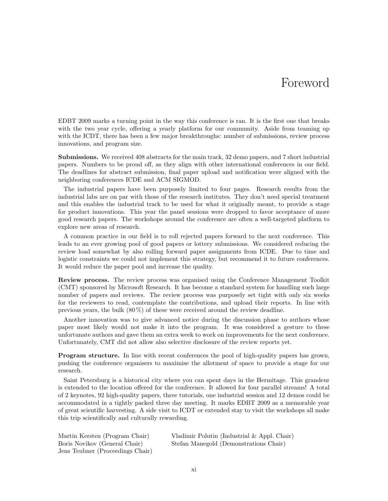# Foreword

EDBT 2009 marks a turning point in the way this conference is ran. It is the first one that breaks with the two year cycle, offering a yearly platform for our community. Aside from teaming up with the ICDT, there has been a few major breakthroughs: number of submissions, review process innovations, and program size.

Submissions. We received 408 abstracts for the main track, 32 demo papers, and 7 short industrial papers. Numbers to be proud off, as they align with other international conferences in our field. The deadlines for abstract submission, final paper upload and notification were aligned with the neighboring conferences ICDE and ACM SIGMOD.

The industrial papers have been purposely limited to four pages. Research results from the industrial labs are on par with those of the research institutes. They don't need special treatment and this enables the industrial track to be used for what it originally meant, to provide a stage for product innovations. This year the panel sessions were dropped to favor acceptance of more good research papers. The workshops around the conference are often a well-targeted platform to explore new areas of research.

A common practice in our field is to roll rejected papers forward to the next conference. This leads to an ever growing pool of good papers or lottery submissions. We considered reducing the review load somewhat by also rolling forward paper assignments from ICDE. Due to time and logistic constraints we could not implement this strategy, but recommend it to future conferences. It would reduce the paper pool and increase the quality.

Review process. The review process was organised using the Conference Management Toolkit (CMT) sponsored by Microsoft Research. It has become a standard system for handling such large number of papers and reviews. The review process was purposely set tight with only six weeks for the reviewers to read, contemplate the contributions, and upload their reports. In line with previous years, the bulk  $(80\%)$  of these were received around the review deadline.

Another innovation was to give advanced notice during the discussion phase to authors whose paper most likely would not make it into the program. It was considered a gesture to these unfortunate authors and gave them an extra week to work on improvements for the next conference. Unfortunately, CMT did not allow also selective disclosure of the review reports yet.

Program structure. In line with recent conferences the pool of high-quality papers has grown, pushing the conference organisers to maximise the allotment of space to provide a stage for our research.

Saint Petersburg is a historical city where you can spent days in the Hermitage. This grandeur is extended to the location offered for the conference. It allowed for four parallel streams! A total of 2 keynotes, 92 high-quality papers, three tutorials, one industrial session and 12 demos could be accommodated in a tightly packed three day meeting. It marks EDBT 2009 as a memorable year of great scientific harvesting. A side visit to ICDT or extended stay to visit the workshops all make this trip scientifically and culturally rewarding.

| Martin Kersten (Program Chair)   | Vladimir Polutin (Industrial $\&$ Appl. Chair) |
|----------------------------------|------------------------------------------------|
| Boris Novikov (General Chair)    | Stefan Manegold (Demonstrations Chair)         |
| Jens Teubner (Proceedings Chair) |                                                |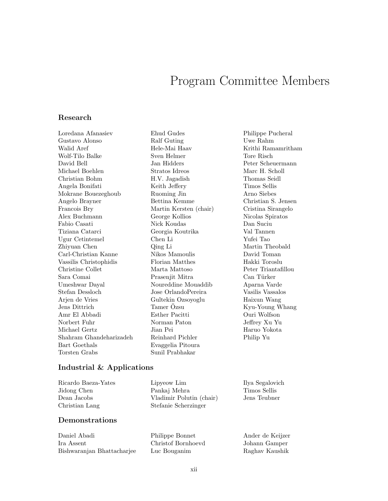# Program Committee Members

#### Research

Loredana Afanasiev Gustavo Alonso Walid Aref Wolf-Tilo Balke David Bell Michael Boehlen Christian Bohm Angela Bonifati Mokrane Bouezeghoub Angelo Brayner Francois Bry Alex Buchmann Fabio Casati Tiziana Catarci Ugur Cetintemel Zhiyuan Chen Carl-Christian Kanne Vassilis Christophidis Christine Collet Sara Comai Umeshwar Dayal Stefan Dessloch Arjen de Vries Jens Dittrich Amr El Abbadi Norbert Fuhr Michael Gertz Shahram Ghandeharizadeh Bart Goethals Torsten Grabs

Ehud Gudes Ralf Guting Hele-Mai Haav Sven Helmer Jan Hidders Stratos Idreos H.V. Jagadish Keith Jeffery Ruoming Jin Bettina Kemme Martin Kersten (chair) George Kollios Nick Koudas Georgia Koutrika Chen Li Qing Li Nikos Mamoulis Florian Matthes Marta Mattoso Prasenjit Mitra Noureddine Mouaddib Jose OrlandoPereira Gultekin Ozsoyoglu Tamer Ozsu Esther Pacitti Norman Paton Jian Pei Reinhard Pichler Evaggelia Pitoura Sunil Prabhakar

Philippe Pucheral Uwe Rahm Krithi Ramamritham Tore Risch Peter Scheuermann Marc H. Scholl Thomas Seidl Timos Sellis Arno Siebes Christian S. Jensen Cristina Sirangelo Nicolas Spiratos Dan Suciu Val Tannen Yufei Tao Martin Theobald David Toman Hakki Toroslu Peter Triantafillou Can Türker Aparna Varde Vasilis Vassalos Haixun Wang Kyu-Young Whang Ouri Wolfson Jeffrey Xu Yu Haruo Yokota Philip Yu

#### Industrial & Applications

| Ricardo Baeza-Yates | Lipyeow Lim              | Ilya Segalovich |
|---------------------|--------------------------|-----------------|
| Jidong Chen         | Pankaj Mehra             | Timos Sellis    |
| Dean Jacobs         | Vladimir Polutin (chair) | Jens Teubner    |
| Christian Lang      | Stefanie Scherzinger     |                 |

#### Demonstrations

| Daniel Abadi               | Philippe Bonnet    | Ander de Keijzer |
|----------------------------|--------------------|------------------|
| Ira Assent                 | Christof Bornhoevd | Johann Gamper    |
| Bishwaranjan Bhattacharjee | Luc Bouganim       | Raghay Kaushik   |